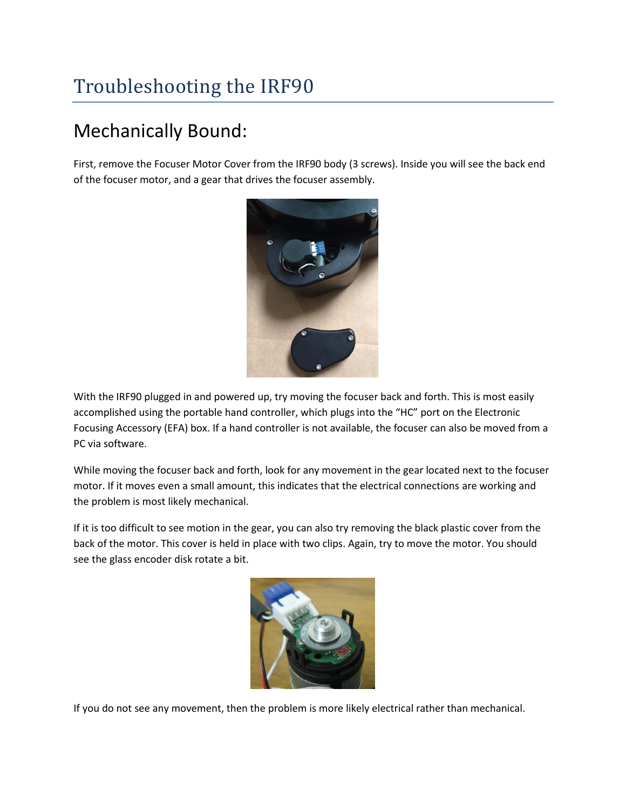## Troubleshooting the IRF90

## Mechanically Bound:

First, remove the Focuser Motor Cover from the IRF90 body (3 screws). Inside you will see the back end of the focuser motor, and a gear that drives the focuser assembly.



With the IRF90 plugged in and powered up, try moving the focuser back and forth. This is most easily accomplished using the portable hand controller, which plugs into the "HC" port on the Electronic Focusing Accessory (EFA) box. If a hand controller is not available, the focuser can also be moved from a PC via software.

While moving the focuser back and forth, look for any movement in the gear located next to the focuser motor. If it moves even a small amount, this indicates that the electrical connections are working and the problem is most likely mechanical.

If it is too difficult to see motion in the gear, you can also try removing the black plastic cover from the back of the motor. This cover is held in place with two clips. Again, try to move the motor. You should see the glass encoder disk rotate a bit.



If you do not see any movement, then the problem is more likely electrical rather than mechanical.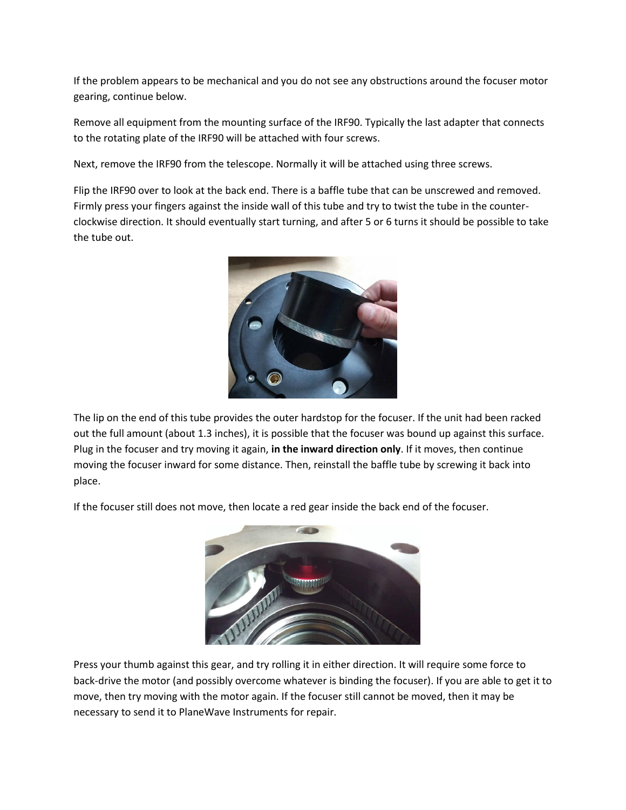If the problem appears to be mechanical and you do not see any obstructions around the focuser motor gearing, continue below.

Remove all equipment from the mounting surface of the IRF90. Typically the last adapter that connects to the rotating plate of the IRF90 will be attached with four screws.

Next, remove the IRF90 from the telescope. Normally it will be attached using three screws.

Flip the IRF90 over to look at the back end. There is a baffle tube that can be unscrewed and removed. Firmly press your fingers against the inside wall of this tube and try to twist the tube in the counterclockwise direction. It should eventually start turning, and after 5 or 6 turns it should be possible to take the tube out.



The lip on the end of this tube provides the outer hardstop for the focuser. If the unit had been racked out the full amount (about 1.3 inches), it is possible that the focuser was bound up against this surface. Plug in the focuser and try moving it again, **in the inward direction only**. If it moves, then continue moving the focuser inward for some distance. Then, reinstall the baffle tube by screwing it back into place.

If the focuser still does not move, then locate a red gear inside the back end of the focuser.



Press your thumb against this gear, and try rolling it in either direction. It will require some force to back-drive the motor (and possibly overcome whatever is binding the focuser). If you are able to get it to move, then try moving with the motor again. If the focuser still cannot be moved, then it may be necessary to send it to PlaneWave Instruments for repair.